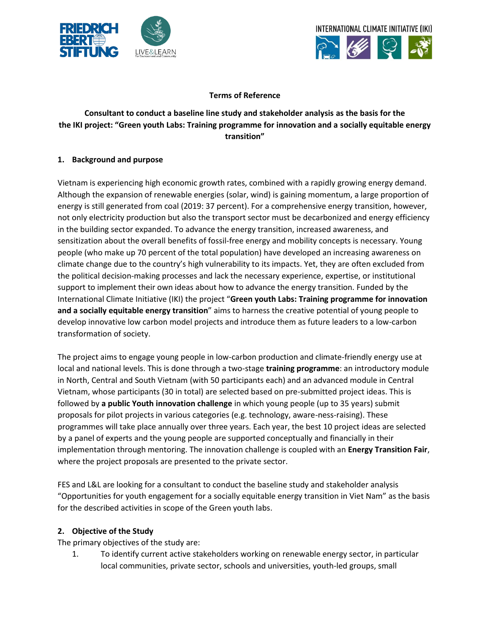



#### **Terms of Reference**

# **Consultant to conduct a baseline line study and stakeholder analysis as the basis for the the IKI project: "Green youth Labs: Training programme for innovation and a socially equitable energy transition"**

#### **1. Background and purpose**

Vietnam is experiencing high economic growth rates, combined with a rapidly growing energy demand. Although the expansion of renewable energies (solar, wind) is gaining momentum, a large proportion of energy is still generated from coal (2019: 37 percent). For a comprehensive energy transition, however, not only electricity production but also the transport sector must be decarbonized and energy efficiency in the building sector expanded. To advance the energy transition, increased awareness, and sensitization about the overall benefits of fossil-free energy and mobility concepts is necessary. Young people (who make up 70 percent of the total population) have developed an increasing awareness on climate change due to the country's high vulnerability to its impacts. Yet, they are often excluded from the political decision-making processes and lack the necessary experience, expertise, or institutional support to implement their own ideas about how to advance the energy transition. Funded by the International Climate Initiative (IKI) the project "**Green youth Labs: Training programme for innovation and a socially equitable energy transition**" aims to harness the creative potential of young people to develop innovative low carbon model projects and introduce them as future leaders to a low-carbon transformation of society.

The project aims to engage young people in low-carbon production and climate-friendly energy use at local and national levels. This is done through a two-stage **training programme**: an introductory module in North, Central and South Vietnam (with 50 participants each) and an advanced module in Central Vietnam, whose participants (30 in total) are selected based on pre-submitted project ideas. This is followed by **a public Youth innovation challenge** in which young people (up to 35 years) submit proposals for pilot projects in various categories (e.g. technology, aware-ness-raising). These programmes will take place annually over three years. Each year, the best 10 project ideas are selected by a panel of experts and the young people are supported conceptually and financially in their implementation through mentoring. The innovation challenge is coupled with an **Energy Transition Fair**, where the project proposals are presented to the private sector.

FES and L&L are looking for a consultant to conduct the baseline study and stakeholder analysis "Opportunities for youth engagement for a socially equitable energy transition in Viet Nam" as the basis for the described activities in scope of the Green youth labs.

#### **2. Objective of the Study**

The primary objectives of the study are:

1. To identify current active stakeholders working on renewable energy sector, in particular local communities, private sector, schools and universities, youth-led groups, small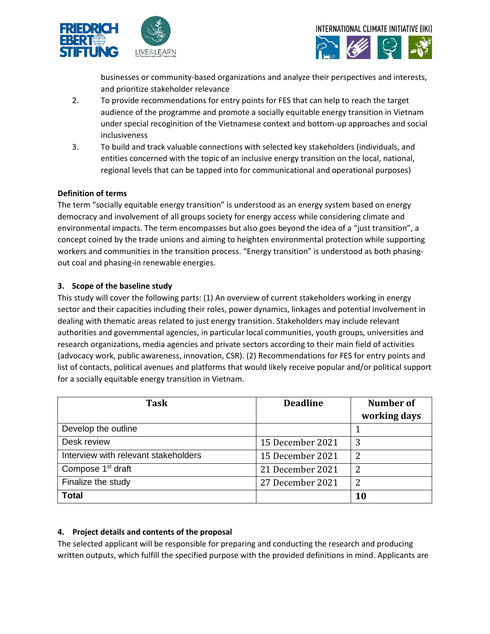



businesses or community-based organizations and analyze their perspectives and interests, and prioritize stakeholder relevance

- 2. To provide recommendations for entry points for FES that can help to reach the target audience of the programme and promote a socially equitable energy transition in Vietnam under special recoginition of the Vietnamese context and bottom-up approaches and social inclusiveness
- 3. To build and track valuable connections with selected key stakeholders (individuals, and entities concerned with the topic of an inclusive energy transition on the local, national, regional levels that can be tapped into for communicational and operational purposes)

## **Definition of terms**

The term "socially equitable energy transition" is understood as an energy system based on energy democracy and involvement of all groups society for energy access while considering climate and environmental impacts. The term encompasses but also goes beyond the idea of a "just transition", a concept coined by the trade unions and aiming to heighten environmental protection while supporting workers and communities in the transition process. "Energy transition" is understood as both phasingout coal and phasing-in renewable energies.

## **3. Scope of the baseline study**

This study will cover the following parts: (1) An overview of current stakeholders working in energy sector and their capacities including their roles, power dynamics, linkages and potential involvement in dealing with thematic areas related to just energy transition. Stakeholders may include relevant authorities and governmental agencies, in particular local communities, youth groups, universities and research organizations, media agencies and private sectors according to their main field of activities (advocacy work, public awareness, innovation, CSR). (2) Recommendations for FES for entry points and list of contacts, political avenues and platforms that would likely receive popular and/or political support for a socially equitable energy transition in Vietnam.

| <b>Task</b>                          | <b>Deadline</b>  | <b>Number of</b> |
|--------------------------------------|------------------|------------------|
|                                      |                  | working days     |
| Develop the outline                  |                  |                  |
| Desk review                          | 15 December 2021 | 3                |
| Interview with relevant stakeholders | 15 December 2021 | 2                |
| Compose 1 <sup>st</sup> draft        | 21 December 2021 | 2                |
| Finalize the study                   | 27 December 2021 | 2                |
| <b>Total</b>                         |                  | 10               |

## **4. Project details and contents of the proposal**

The selected applicant will be responsible for preparing and conducting the research and producing written outputs, which fulfill the specified purpose with the provided definitions in mind. Applicants are